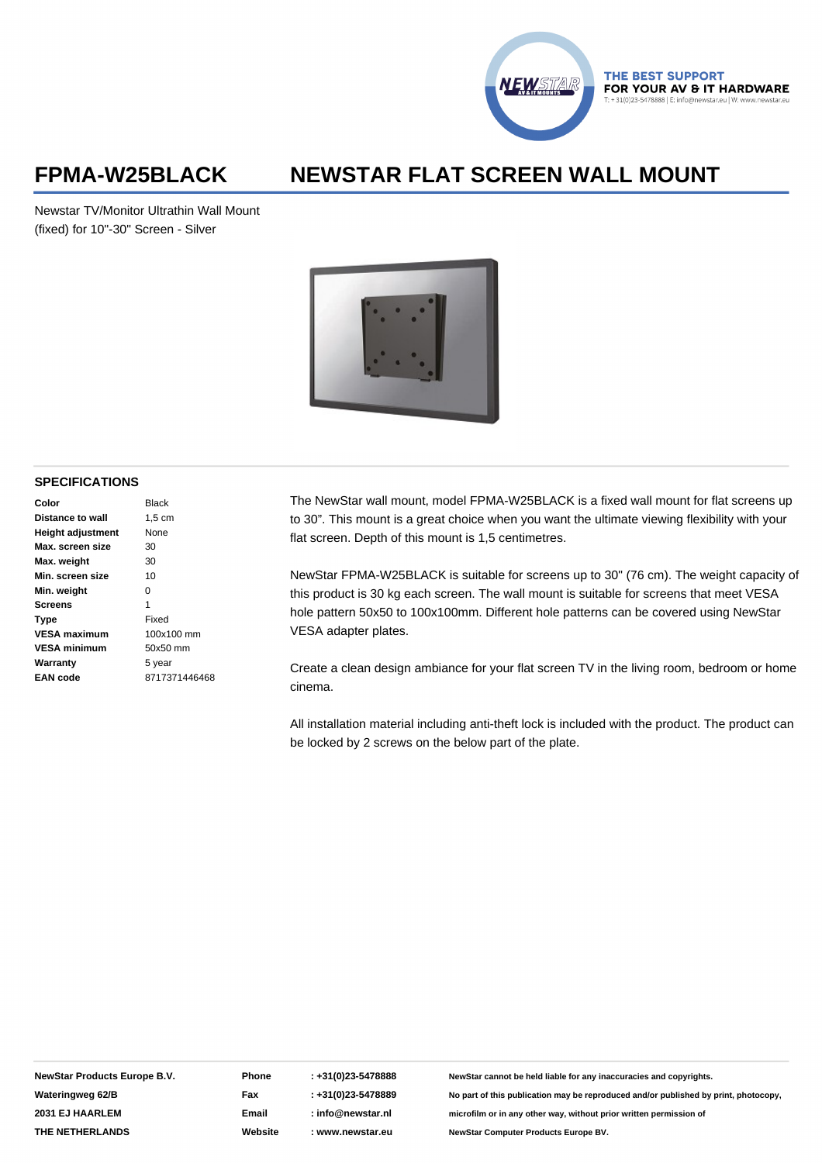

THE BEST SUPPORT FOR YOUR AV & IT HARDWARE

## **FPMA-W25BLACK NEWSTAR FLAT SCREEN WALL MOUNT**

Newstar TV/Monitor Ultrathin Wall Mount (fixed) for 10"-30" Screen - Silver



### **SPECIFICATIONS**

| Color                    | <b>Black</b>  |
|--------------------------|---------------|
| Distance to wall         | 1.5 cm        |
| <b>Height adjustment</b> | None          |
| Max. screen size         | 30            |
| Max. weight              | 30            |
| Min. screen size         | 10            |
| Min. weight              | O             |
| <b>Screens</b>           | 1             |
| Type                     | Fixed         |
| <b>VESA maximum</b>      | 100x100 mm    |
| <b>VESA minimum</b>      | 50x50 mm      |
| Warranty                 | 5 year        |
| EAN code                 | 8717371446468 |
|                          |               |

The NewStar wall mount, model FPMA-W25BLACK is a fixed wall mount for flat screens up to 30". This mount is a great choice when you want the ultimate viewing flexibility with your flat screen. Depth of this mount is 1,5 centimetres.

NewStar FPMA-W25BLACK is suitable for screens up to 30" (76 cm). The weight capacity of this product is 30 kg each screen. The wall mount is suitable for screens that meet VESA hole pattern 50x50 to 100x100mm. Different hole patterns can be covered using NewStar VESA adapter plates.

Create a clean design ambiance for your flat screen TV in the living room, bedroom or home cinema.

All installation material including anti-theft lock is included with the product. The product can be locked by 2 screws on the below part of the plate.

**NewStar Products Europe B.V. Wateringweg 62/B 2031 EJ HAARLEM THE NETHERLANDS**

**Phone Fax Email Website**

**: +31(0)23-5478888 : +31(0)23-5478889 : info@newstar.nl : www.newstar.eu**

**NewStar cannot be held liable for any inaccuracies and copyrights. No part of this publication may be reproduced and/or published by print, photocopy, microfilm or in any other way, without prior written permission of NewStar Computer Products Europe BV.**